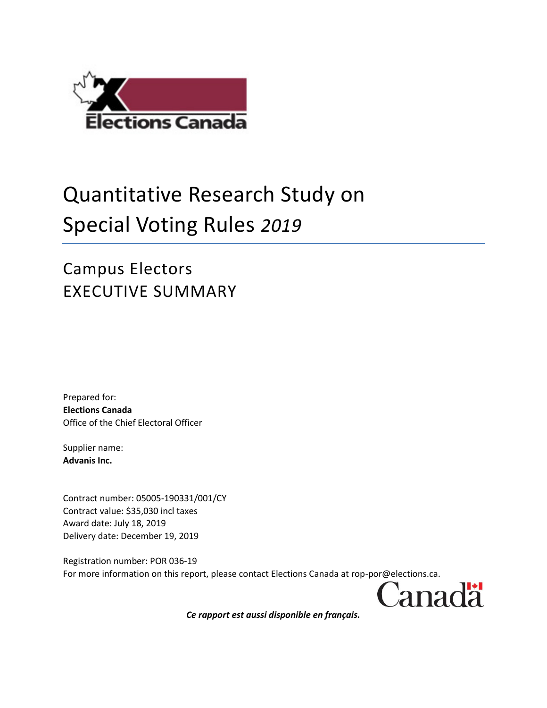

## Quantitative Research Study on Special Voting Rules *2019*

Campus Electors EXECUTIVE SUMMARY

Prepared for: **Elections Canada** Office of the Chief Electoral Officer

Supplier name: **Advanis Inc.**

Contract number: 05005-190331/001/CY Contract value: \$35,030 incl taxes Award date: July 18, 2019 Delivery date: December 19, 2019

Registration number: POR 036-19 For more information on this report, please contact Elections Canada at rop-por@elections.ca.

Canadä

*Ce rapport est aussi disponible en français.*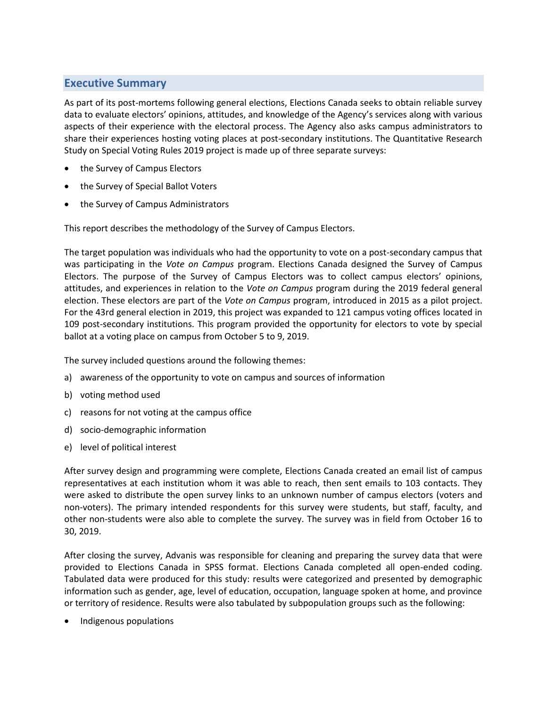## **Executive Summary**

As part of its post-mortems following general elections, Elections Canada seeks to obtain reliable survey data to evaluate electors' opinions, attitudes, and knowledge of the Agency's services along with various aspects of their experience with the electoral process. The Agency also asks campus administrators to share their experiences hosting voting places at post-secondary institutions. The Quantitative Research Study on Special Voting Rules 2019 project is made up of three separate surveys:

- the Survey of Campus Electors
- the Survey of Special Ballot Voters
- the Survey of Campus Administrators

This report describes the methodology of the Survey of Campus Electors.

The target population was individuals who had the opportunity to vote on a post-secondary campus that was participating in the *Vote on Campus* program. Elections Canada designed the Survey of Campus Electors. The purpose of the Survey of Campus Electors was to collect campus electors' opinions, attitudes, and experiences in relation to the *Vote on Campus* program during the 2019 federal general election. These electors are part of the *Vote on Campus* program, introduced in 2015 as a pilot project. For the 43rd general election in 2019, this project was expanded to 121 campus voting offices located in 109 post-secondary institutions. This program provided the opportunity for electors to vote by special ballot at a voting place on campus from October 5 to 9, 2019.

The survey included questions around the following themes:

- a) awareness of the opportunity to vote on campus and sources of information
- b) voting method used
- c) reasons for not voting at the campus office
- d) socio-demographic information
- e) level of political interest

After survey design and programming were complete, Elections Canada created an email list of campus representatives at each institution whom it was able to reach, then sent emails to 103 contacts. They were asked to distribute the open survey links to an unknown number of campus electors (voters and non-voters). The primary intended respondents for this survey were students, but staff, faculty, and other non-students were also able to complete the survey. The survey was in field from October 16 to 30, 2019.

After closing the survey, Advanis was responsible for cleaning and preparing the survey data that were provided to Elections Canada in SPSS format. Elections Canada completed all open-ended coding. Tabulated data were produced for this study: results were categorized and presented by demographic information such as gender, age, level of education, occupation, language spoken at home, and province or territory of residence. Results were also tabulated by subpopulation groups such as the following:

Indigenous populations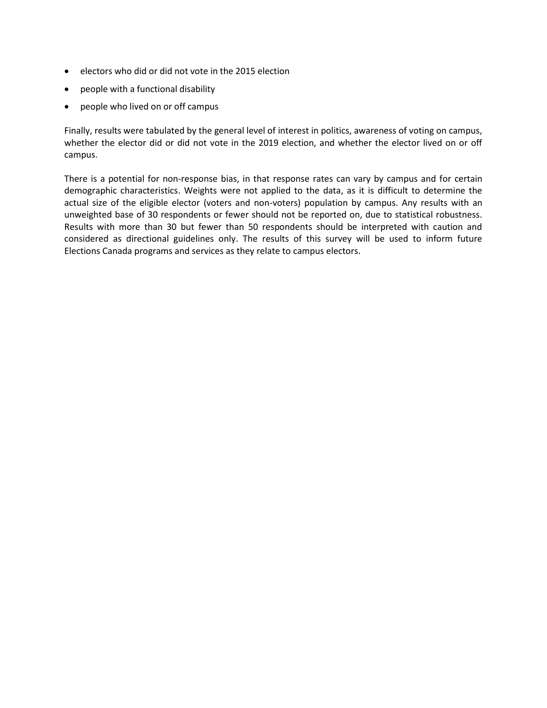- electors who did or did not vote in the 2015 election
- people with a functional disability
- people who lived on or off campus

Finally, results were tabulated by the general level of interest in politics, awareness of voting on campus, whether the elector did or did not vote in the 2019 election, and whether the elector lived on or off campus.

There is a potential for non-response bias, in that response rates can vary by campus and for certain demographic characteristics. Weights were not applied to the data, as it is difficult to determine the actual size of the eligible elector (voters and non-voters) population by campus. Any results with an unweighted base of 30 respondents or fewer should not be reported on, due to statistical robustness. Results with more than 30 but fewer than 50 respondents should be interpreted with caution and considered as directional guidelines only. The results of this survey will be used to inform future Elections Canada programs and services as they relate to campus electors.